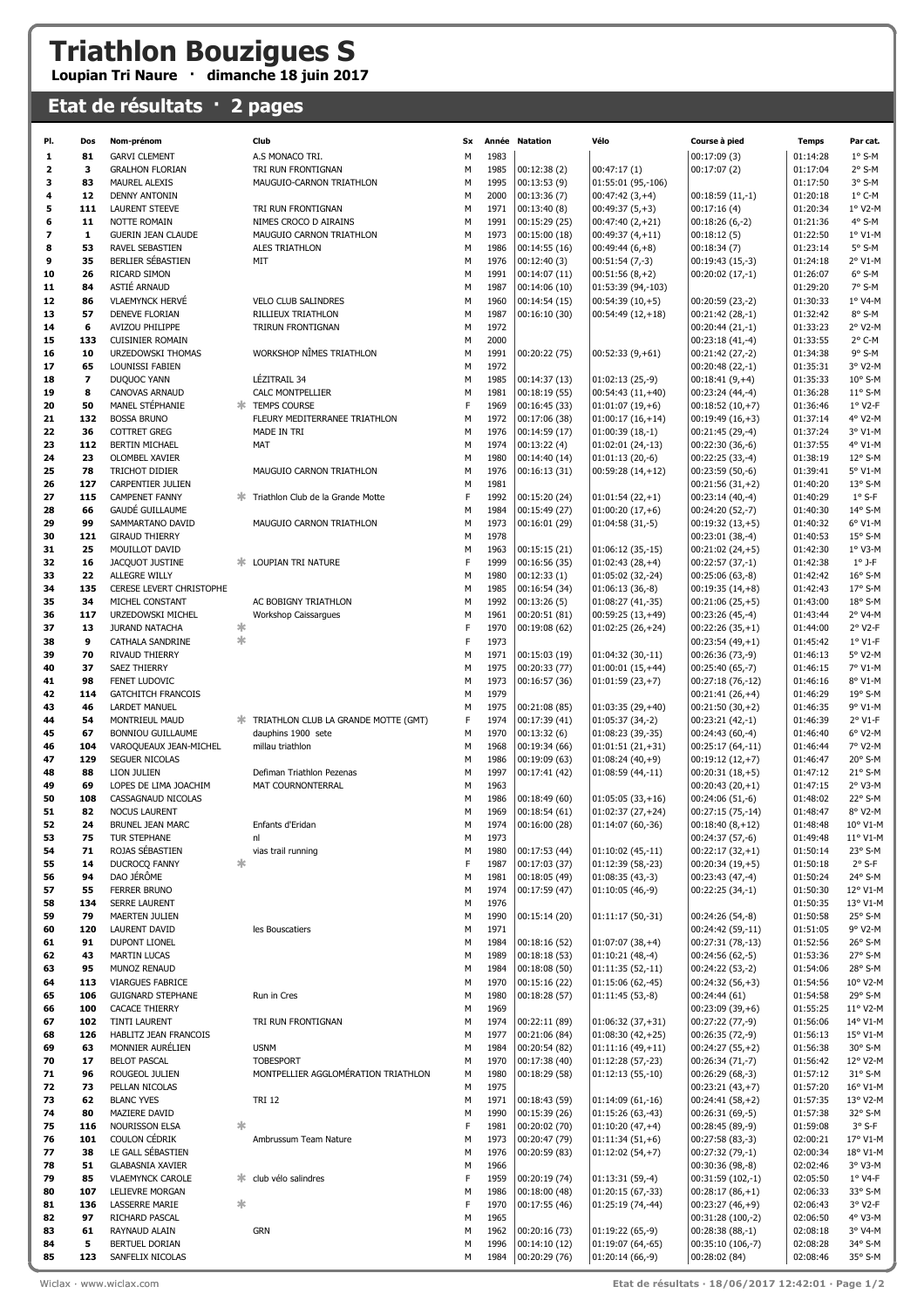## **Triathlon Bouzigues S**

## **Loupian Tri Naure · dimanche 18 juin 2017**

## **Etat de résultats · 2 pages**

| PI.      | Dos                     | Nom-prénom                                        |        | Club                                                    | Sx     |              | Année Natation                | Vélo                                     | Course à pied                          | <b>Temps</b>         | Par cat.              |
|----------|-------------------------|---------------------------------------------------|--------|---------------------------------------------------------|--------|--------------|-------------------------------|------------------------------------------|----------------------------------------|----------------------|-----------------------|
| 1        | 81                      | <b>GARVI CLEMENT</b>                              |        | A.S MONACO TRI.                                         | М      | 1983         |                               |                                          | 00:17:09(3)                            | 01:14:28             | $1°$ S-M              |
| 2        | 3                       | <b>GRALHON FLORIAN</b>                            |        | TRI RUN FRONTIGNAN                                      | M      | 1985         | 00:12:38(2)                   | 00:47:17(1)                              | 00:17:07(2)                            | 01:17:04             | $2°$ S-M              |
| 3        | 83                      | <b>MAUREL ALEXIS</b>                              |        | MAUGUIO-CARNON TRIATHLON                                | М      | 1995         | 00:13:53(9)                   | 01:55:01 (95,-106)                       |                                        | 01:17:50             | 3° S-M                |
| 4        | 12                      | <b>DENNY ANTONIN</b>                              |        |                                                         | М      | 2000         | 00:13:36(7)                   | $00:47:42(3,+4)$                         | $00:18:59(11,-1)$                      | 01:20:18             | $1^{\circ}$ C-M       |
| 5        | 111                     | <b>LAURENT STEEVE</b>                             |        | TRI RUN FRONTIGNAN                                      | M      | 1971         | 00:13:40(8)                   | $00:49:37(5,+3)$                         | 00:17:16(4)                            | 01:20:34             | 1° V2-M               |
| 6        | 11                      | NOTTE ROMAIN                                      |        | NIMES CROCO D AIRAINS                                   | М      | 1991         | 00:15:29 (25)                 | $00:47:40(2,+21)$                        | $00:18:26(6,-2)$                       | 01:21:36             | 4° S-M                |
| 7        | 1                       | <b>GUERIN JEAN CLAUDE</b>                         |        | MAUGUIO CARNON TRIATHLON                                | M      | 1973         | 00:15:00(18)                  | $00:49:37(4,+11)$                        | 00:18:12(5)                            | 01:22:50             | 1° V1-M               |
| 8        | 53                      | RAVEL SEBASTIEN                                   |        | ALES TRIATHLON                                          | M      | 1986         | 00:14:55(16)                  | $00:49:44(6,+8)$                         | 00:18:34(7)                            | 01:23:14             | 5° S-M                |
| 9        | 35                      | BERLIER SÉBASTIEN                                 |        | MIT                                                     | M      | 1976         | 00:12:40(3)                   | $00:51:54(7,-3)$                         | 00:19:43 (15,-3)                       | 01:24:18             | 2° V1-M               |
| 10       | 26                      | RICARD SIMON                                      |        |                                                         | M      | 1991         | 00:14:07(11)                  | $00:51:56(8,+2)$                         | $00:20:02(17,-1)$                      | 01:26:07             | $6°$ S-M              |
| 11       | 84                      | ASTIÉ ARNAUD                                      |        |                                                         | M      | 1987         | 00:14:06(10)                  | 01:53:39 (94,-103)                       |                                        | 01:29:20             | 7° S-M                |
| 12       | 86                      | <b>VLAEMYNCK HERVÉ</b>                            |        | <b>VELO CLUB SALINDRES</b>                              | М      | 1960         | 00:14:54(15)                  | $00:54:39(10,+5)$                        | $00:20:59(23,-2)$                      | 01:30:33             | 1° V4-M               |
| 13<br>14 | 57<br>6                 | DENEVE FLORIAN<br>AVIZOU PHILIPPE                 |        | RILLIEUX TRIATHLON<br><b>TRIRUN FRONTIGNAN</b>          | M<br>M | 1987<br>1972 | 00:16:10(30)                  | $00:54:49(12,+18)$                       | 00:21:42 (28,-1)                       | 01:32:42<br>01:33:23 | 8° S-M<br>2° V2-M     |
| 15       | 133                     | <b>CUISINIER ROMAIN</b>                           |        |                                                         | M      | 2000         |                               |                                          | 00:20:44 (21,-1)<br>00:23:18 (41,-4)   | 01:33:55             | 2° C-M                |
| 16       | 10                      | URZEDOWSKI THOMAS                                 |        | WORKSHOP NÎMES TRIATHLON                                | M      | 1991         | 00:20:22 (75)                 | $00:52:33(9,+61)$                        | 00:21:42 (27,-2)                       | 01:34:38             | 9° S-M                |
| 17       | 65                      | LOUNISSI FABIEN                                   |        |                                                         | М      | 1972         |                               |                                          | 00:20:48 (22,-1)                       | 01:35:31             | 3° V2-M               |
| 18       | $\overline{\mathbf{z}}$ | DUQUOC YANN                                       |        | LÉZITRAIL 34                                            | M      | 1985         | 00:14:37 (13)                 | $01:02:13(25,-9)$                        | $00:18:41(9,+4)$                       | 01:35:33             | 10° S-M               |
| 19       | 8                       | CANOVAS ARNAUD                                    |        | CALC MONTPELLIER                                        | М      | 1981         | 00:18:19(55)                  | $00:54:43(11,+40)$                       | 00:23:24 (44,-4)                       | 01:36:28             | $11^{\circ}$ S-M      |
| 20       | 50                      | MANEL STÉPHANIE                                   |        | <b>TEMPS COURSE</b>                                     | F      | 1969         | 00:16:45 (33)                 | $01:01:07(19,+6)$                        | $00:18:52(10,+7)$                      | 01:36:46             | 1° V2-F               |
| 21       | 132                     | <b>BOSSA BRUNO</b>                                |        | FLEURY MEDITERRANEE TRIATHLON                           | М      | 1972         | 00:17:06 (38)                 | $01:00:17(16,+14)$                       | $00:19:49(16,+3)$                      | 01:37:14             | 4° V2-M               |
| 22       | 36                      | <b>COTTRET GREG</b>                               |        | MADE IN TRI                                             | М      | 1976         | 00:14:59 (17)                 | $01:00:39(18,-1)$                        | 00:21:45 (29,-4)                       | 01:37:24             | 3° V1-M               |
| 23       | 112                     | <b>BERTIN MICHAEL</b>                             |        | MAT                                                     | M      | 1974         | 00:13:22(4)                   | 01:02:01 (24,-13)                        | 00:22:30 (36,-6)                       | 01:37:55             | 4° V1-M               |
| 24       | 23                      | OLOMBEL XAVIER                                    |        |                                                         | M      | 1980         | 00:14:40(14)                  | $01:01:13(20,-6)$                        | $00:22:25(33,-4)$                      | 01:38:19             | 12° S-M               |
| 25       | 78                      | TRICHOT DIDIER                                    |        | MAUGUIO CARNON TRIATHLON                                | M      | 1976         | 00:16:13(31)                  | $00:59:28(14,+12)$                       | $00:23:59(50,-6)$                      | 01:39:41             | 5° V1-M               |
| 26<br>27 | 127<br>115              | <b>CARPENTIER JULIEN</b><br><b>CAMPENET FANNY</b> |        | Triathlon Club de la Grande Motte                       | М<br>F | 1981<br>1992 | 00:15:20 (24)                 | $01:01:54(22,+1)$                        | $00:21:56(31,+2)$                      | 01:40:20<br>01:40:29 | 13° S-M<br>$1°$ S-F   |
| 28       | 66                      | GAUDÉ GUILLAUME                                   |        |                                                         | М      | 1984         | 00:15:49 (27)                 | $01:00:20(17,+6)$                        | 00:23:14 (40,-4)<br>00:24:20 (52,-7)   | 01:40:30             | 14° S-M               |
| 29       | 99                      | SAMMARTANO DAVID                                  |        | MAUGUIO CARNON TRIATHLON                                | M      | 1973         | 00:16:01 (29)                 | $01:04:58(31,-5)$                        | $00:19:32(13,+5)$                      | 01:40:32             | 6° V1-M               |
| 30       | 121                     | <b>GIRAUD THIERRY</b>                             |        |                                                         | М      | 1978         |                               |                                          | $00:23:01(38,-4)$                      | 01:40:53             | 15° S-M               |
| 31       | 25                      | MOUILLOT DAVID                                    |        |                                                         | М      | 1963         | 00:15:15(21)                  | $01:06:12(35,-15)$                       | $00:21:02(24,+5)$                      | 01:42:30             | 1° V3-M               |
| 32       | 16                      | JACQUOT JUSTINE                                   | ж.     | LOUPIAN TRI NATURE                                      | F      | 1999         | 00:16:56 (35)                 | $01:02:43(28,+4)$                        | 00:22:57 (37,-1)                       | 01:42:38             | $1°$ J-F              |
| 33       | 22                      | ALLEGRE WILLY                                     |        |                                                         | М      | 1980         | 00:12:33(1)                   | 01:05:02 (32,-24)                        | 00:25:06 (63,-8)                       | 01:42:42             | 16° S-M               |
| 34       | 135                     | CERESE LEVERT CHRISTOPHE                          |        |                                                         | M      | 1985         | 00:16:54 (34)                 | $01:06:13(36,-8)$                        | $00:19:35(14,+8)$                      | 01:42:43             | 17° S-M               |
| 35       | 34                      | MICHEL CONSTANT                                   |        | AC BOBIGNY TRIATHLON                                    | M      | 1992         | 00:13:26(5)                   | $01:08:27(41,-35)$                       | $00:21:06(25,+5)$                      | 01:43:00             | 18° S-M               |
| 36       | 117                     | URZEDOWSKI MICHEL                                 |        | Workshop Caissargues                                    | М      | 1961         | 00:20:51 (81)                 | $00:59:25(13,+49)$                       | 00:23:26 (45,-4)                       | 01:43:44             | 2° V4-M               |
| 37       | 13                      | JURAND NATACHA                                    | *      |                                                         | F      | 1970         | 00:19:08 (62)                 | $01:02:25(26,+24)$                       | $00:22:26(35,+1)$                      | 01:44:00             | 2° V2-F               |
| 38       | 9                       | CATHALA SANDRINE                                  | $\ast$ |                                                         | F      | 1973         |                               |                                          | $00:23:54(49,+1)$                      | 01:45:42             | 1° V1-F               |
| 39<br>40 | 70<br>37                | <b>RIVAUD THIERRY</b><br>SAEZ THIERRY             |        |                                                         | М<br>M | 1971<br>1975 | 00:15:03(19)<br>00:20:33 (77) | $01:04:32(30,-11)$<br>$01:00:01(15,+44)$ | 00:26:36 (73,-9)<br>00:25:40 (65,-7)   | 01:46:13<br>01:46:15 | 5° V2-M<br>7° V1-M    |
| 41       | 98                      | FENET LUDOVIC                                     |        |                                                         | M      | 1973         | 00:16:57 (36)                 | $01:01:59(23,+7)$                        | 00:27:18 (76,-12)                      | 01:46:16             | 8° V1-M               |
| 42       | 114                     | <b>GATCHITCH FRANCOIS</b>                         |        |                                                         | M      | 1979         |                               |                                          | $00:21:41(26,+4)$                      | 01:46:29             | 19° S-M               |
| 43       | 46                      | <b>LARDET MANUEL</b>                              |        |                                                         | М      | 1975         | 00:21:08 (85)                 | $01:03:35(29,+40)$                       | $00:21:50(30,+2)$                      | 01:46:35             | 9° V1-M               |
| 44       | 54                      | MONTRIEUL MAUD                                    |        | <b>* TRIATHLON CLUB LA GRANDE MOTTE (GMT)</b>           | F      | 1974         | 00:17:39 (41)                 | $01:05:37(34,-2)$                        | 00:23:21 (42,-1)                       | 01:46:39             | 2° V1-F               |
| 45       | 67                      | <b>BONNIOU GUILLAUME</b>                          |        | dauphins 1900 sete                                      | М      | 1970         | 00:13:32(6)                   | 01:08:23 (39,-35)                        | $00:24:43(60,-4)$                      | 01:46:40             | 6° V2-M               |
| 46       | 104                     | VAROQUEAUX JEAN-MICHEL                            |        | millau triathlon                                        | М      | 1968         | 00:19:34 (66)                 | $01:01:51(21,+31)$                       | 00:25:17 (64,-11)                      | 01:46:44             | 7° V2-M               |
| 47       | 129                     | SEGUER NICOLAS                                    |        |                                                         | M      | 1986         | 00:19:09 (63)                 | $01:08:24(40,+9)$                        | $00:19:12(12,+7)$                      | 01:46:47             | 20° S-M               |
| 48       | 88                      | LION JULIEN                                       |        | Defiman Triathlon Pezenas                               | M      | 1997         | 00:17:41 (42)                 | 01:08:59 (44,-11)                        | $00:20:31(18,+5)$                      | 01:47:12             | 21° S-M               |
| 49<br>50 | 69<br>108               | LOPES DE LIMA JOACHIM                             |        | MAT COURNONTERRAL                                       | M<br>М | 1963<br>1986 |                               |                                          | $00:20:43(20,+1)$                      | 01:47:15<br>01:48:02 | 2° V3-M<br>22° S-M    |
| 51       | 82                      | CASSAGNAUD NICOLAS<br><b>NOCUS LAURENT</b>        |        |                                                         | М      | 1969         | 00:18:49(60)<br>00:18:54(61)  | $01:05:05(33,+16)$<br>$01:02:37(27,+24)$ | $00:24:06(51,-6)$<br>00:27:15 (75,-14) | 01:48:47             | 8° V2-M               |
| 52       | 24                      | BRUNEL JEAN MARC                                  |        | Enfants d'Eridan                                        | M      | 1974         | 00:16:00(28)                  | 01:14:07 (60,-36)                        | $00:18:40(8,+12)$                      | 01:48:48             | $10^{\circ}$ V1-M     |
| 53       | 75                      | TUR STEPHANE                                      |        | nl                                                      | М      | 1973         |                               |                                          | 00:24:37 (57,-6)                       | 01:49:48             | 11° V1-M              |
| 54       | 71                      | ROJAS SÉBASTIEN                                   |        | vias trail running                                      | М      | 1980         | 00:17:53 (44)                 | 01:10:02 (45,-11)                        | $00:22:17(32,+1)$                      | 01:50:14             | 23° S-M               |
| 55       | 14                      | <b>DUCROCO FANNY</b>                              | 氺      |                                                         | F      | 1987         | 00:17:03 (37)                 | 01:12:39 (58,-23)                        | $00:20:34(19,+5)$                      | 01:50:18             | $2°$ S-F              |
| 56       | 94                      | DAO JÉRÔME                                        |        |                                                         | M      | 1981         | 00:18:05 (49)                 | $01:08:35(43,-3)$                        | $00:23:43(47,-4)$                      | 01:50:24             | 24° S-M               |
| 57       | 55                      | <b>FERRER BRUNO</b>                               |        |                                                         | M      | 1974         | 00:17:59 (47)                 | $01:10:05(46,-9)$                        | $00:22:25(34,-1)$                      | 01:50:30             | 12° V1-M              |
| 58       | 134                     | <b>SERRE LAURENT</b>                              |        |                                                         | М      | 1976         |                               |                                          |                                        | 01:50:35             | 13° V1-M              |
| 59<br>60 | 79<br>120               | <b>MAERTEN JULIEN</b><br>LAURENT DAVID            |        | les Bouscatiers                                         | M<br>М | 1990<br>1971 | 00:15:14(20)                  | $01:11:17(50,-31)$                       | 00:24:26 (54,-8)<br>00:24:42 (59,-11)  | 01:50:58<br>01:51:05 | 25° S-M<br>9° V2-M    |
| 61       | 91                      | DUPONT LIONEL                                     |        |                                                         | M      | 1984         | 00:18:16(52)                  | $01:07:07(38,+4)$                        | 00:27:31 (78,-13)                      | 01:52:56             | 26° S-M               |
| 62       | 43                      | MARTIN LUCAS                                      |        |                                                         | М      | 1989         | 00:18:18(53)                  | 01:10:21 (48,-4)                         | 00:24:56 (62,-5)                       | 01:53:36             | 27° S-M               |
| 63       | 95                      | MUNOZ RENAUD                                      |        |                                                         | М      | 1984         | 00:18:08(50)                  | $01:11:35(52,-11)$                       | 00:24:22 (53,-2)                       | 01:54:06             | 28° S-M               |
| 64       | 113                     | VIARGUES FABRICE                                  |        |                                                         | М      | 1970         | 00:15:16(22)                  | 01:15:06 (62,-45)                        | $00:24:32(56,+3)$                      | 01:54:56             | 10° V2-M              |
| 65       | 106                     | <b>GUIGNARD STEPHANE</b>                          |        | Run in Cres                                             | М      | 1980         | 00:18:28 (57)                 | $01:11:45(53,-8)$                        | 00:24:44 (61)                          | 01:54:58             | 29° S-M               |
| 66       | 100                     | <b>CACACE THIERRY</b>                             |        |                                                         | M      | 1969         |                               |                                          | $00:23:09(39,+6)$                      | 01:55:25             | 11° V2-M              |
| 67       | 102                     | TINTI LAURENT                                     |        | TRI RUN FRONTIGNAN                                      | M      | 1974         | 00:22:11 (89)                 | $01:06:32(37,+31)$                       | 00:27:22 (77,-9)                       | 01:56:06             | 14° V1-M              |
| 68       | 126                     | HABLITZ JEAN FRANCOIS                             |        |                                                         | М      | 1977         | 00:21:06 (84)                 | $01:08:30(42,+25)$                       | 00:26:35 (72,-9)                       | 01:56:13             | 15° V1-M              |
| 69       | 63                      | MONNIER AURÉLIEN                                  |        | <b>USNM</b>                                             | М      | 1984         | 00:20:54 (82)                 | $01:11:16(49,+11)$                       | $00:24:27(55,+2)$                      | 01:56:38             | 30° S-M               |
| 70       | 17                      | <b>BELOT PASCAL</b>                               |        | <b>TOBESPORT</b><br>MONTPELLIER AGGLOMÉRATION TRIATHLON | М      | 1970         | 00:17:38 (40)                 | 01:12:28 (57,-23)                        | $00:26:34(71,-7)$                      | 01:56:42             | 12° V2-M              |
| 71<br>72 | 96<br>73                | ROUGEOL JULIEN<br>PELLAN NICOLAS                  |        |                                                         | M<br>М | 1980<br>1975 | 00:18:29 (58)                 | $01:12:13(55,-10)$                       | $00:26:29(68,-3)$<br>$00:23:21(43,+7)$ | 01:57:12<br>01:57:20 | $31°$ S-M<br>16° V1-M |
| 73       | 62                      | <b>BLANC YVES</b>                                 |        | <b>TRI 12</b>                                           | М      | 1971         | 00:18:43 (59)                 | $01:14:09(61,-16)$                       | $00:24:41(58,+2)$                      | 01:57:35             | 13° V2-M              |
| 74       | 80                      | MAZIERE DAVID                                     |        |                                                         | М      | 1990         | 00:15:39 (26)                 | 01:15:26 (63,-43)                        | 00:26:31 (69,-5)                       | 01:57:38             | 32° S-M               |
| 75       | 116                     | NOURISSON ELSA                                    | 氺      |                                                         | F      | 1981         | 00:20:02 (70)                 | $01:10:20(47,+4)$                        | 00:28:45 (89,-9)                       | 01:59:08             | $3°$ S-F              |
| 76       | 101                     | COULON CÉDRIK                                     |        | Ambrussum Team Nature                                   | M      | 1973         | 00:20:47 (79)                 | $01:11:34(51,+6)$                        | 00:27:58 (83,-3)                       | 02:00:21             | 17° V1-M              |
| 77       | 38                      | LE GALL SÉBASTIEN                                 |        |                                                         | M      | 1976         | 00:20:59 (83)                 | $01:12:02(54,+7)$                        | 00:27:32 (79,-1)                       | 02:00:34             | 18° V1-M              |
| 78       | 51                      | <b>GLABASNIA XAVIER</b>                           |        |                                                         | M      | 1966         |                               |                                          | 00:30:36 (98,-8)                       | 02:02:46             | 3° V3-M               |
| 79       | 85                      | <b>VLAEMYNCK CAROLE</b>                           | ж.     | club vélo salindres                                     | F      | 1959         | 00:20:19 (74)                 | $01:13:31(59,-4)$                        | 00:31:59 (102,-1)                      | 02:05:50             | 1° V4-F               |
| 80       | 107                     | LELIEVRE MORGAN                                   |        |                                                         | M      | 1986         | 00:18:00(48)                  | $01:20:15(67,-33)$                       | $00:28:17(86,+1)$                      | 02:06:33             | 33° S-M               |
| 81<br>82 | 136<br>97               | LASSERRE MARIE<br>RICHARD PASCAL                  | ∗      |                                                         | F<br>M | 1970<br>1965 | 00:17:55 (46)                 | 01:25:19 (74,-44)                        | $00:23:27(46,+9)$<br>00:31:28 (100,-2) | 02:06:43<br>02:06:50 | 3° V2-F<br>4° V3-M    |
| 83       | 61                      | RAYNAUD ALAIN                                     |        | <b>GRN</b>                                              | M      | 1962         | 00:20:16 (73)                 | $01:19:22(65,-9)$                        | $00:28:38(88,-1)$                      | 02:08:18             | 3° V4-M               |
| 84       | 5                       | BERTUEL DORIAN                                    |        |                                                         | М      | 1996         | 00:14:10(12)                  | 01:19:07 (64,-65)                        | 00:35:10 (106,-7)                      | 02:08:28             | 34° S-M               |
| 85       | 123                     | SANFELIX NICOLAS                                  |        |                                                         | М      | 1984         | 00:20:29 (76)                 | $01:20:14(66,-9)$                        | 00:28:02 (84)                          | 02:08:46             | 35° S-M               |
|          |                         |                                                   |        |                                                         |        |              |                               |                                          |                                        |                      |                       |

Wiclax · www.wiclax.com **Etat de résultats · 18/06/2017 12:42:01 · Page 1/2**